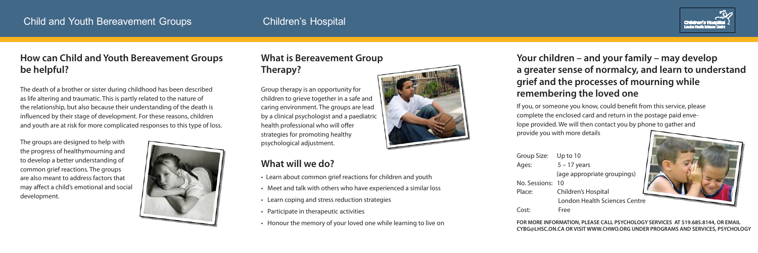The death of a brother or sister during childhood has been described as life altering and traumatic. This is partly related to the nature of the relationship, but also because their understanding of the death is influenced by their stage of development. For these reasons, children and youth are at risk for more complicated responses to this type of loss. Group therapy is an opportunity for children to grieve together in a safe and caring environment. The groups are lead by a clinical psychologist and a paediatric health professional who will offer strategies for promoting healthy psychological adjustment.

# **Your children – and your family – may develop a greater sense of normalcy, and learn to understand grief and the processes of mourning while remembering the loved one**

# **What is Bereavement Group Therapy?**

### **How can Child and Youth Bereavement Groups be helpful?**

### **What will we do?**

- Learn about common grief reactions for children and youth
- Meet and talk with others who have experienced a similar loss
- Learn coping and stress reduction strategies
- Participate in therapeutic activities
- Honour the memory of your loved one while learning to live on



## Child and Youth Bereavement Groups Children's Hospital

If you, or someone you know, could benefit from this service, please complete the enclosed card and return in the postage paid envelope provided. We will then contact you by phone to gather and provide you with more details

| Group Size: Up to 10 |                                      |
|----------------------|--------------------------------------|
| Ages:                | $5 - 17$ years                       |
|                      | (age appropriate groupings)          |
| No. Sessions: 10     |                                      |
| Place:               | Children's Hospital                  |
|                      | <b>London Health Sciences Centre</b> |
| Cost:                | Free                                 |



**FOR MORE INFORMATION, PLEASE CALL PSYCHOLOGY SERVICES AT 519.685.8144, OR EMAIL CYBG@LHSC.ON.CA OR VISIT WWW.CHWO.ORG UNDER PROGRAMS AND SERVICES, PSYCHOLOGY**

The groups are designed to help with the progress of healthymourning and to develop a better understanding of common grief reactions. The groups are also meant to address factors that may affect a child's emotional and social development.